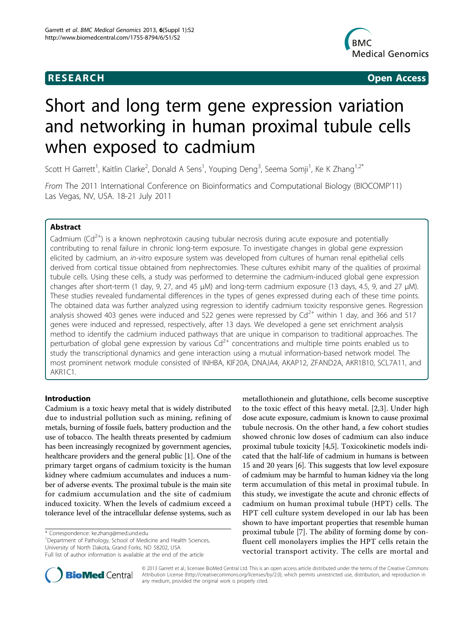## **RESEARCH CHRISTIAN CONSUMING CONTRACT CONSUMING CONSUMING CONSUMING CONSUMING CONSUMING CONSUMING CONSUMING CO**



# Short and long term gene expression variation and networking in human proximal tubule cells when exposed to cadmium

Scott H Garrett<sup>1</sup>, Kaitlin Clarke<sup>2</sup>, Donald A Sens<sup>1</sup>, Youping Deng<sup>3</sup>, Seema Somji<sup>1</sup>, Ke K Zhang<sup>1,2\*</sup>

From The 2011 International Conference on Bioinformatics and Computational Biology (BIOCOMP'11) Las Vegas, NV, USA. 18-21 July 2011

## Abstract

Cadmium  $(Cd^{2+})$  is a known nephrotoxin causing tubular necrosis during acute exposure and potentially contributing to renal failure in chronic long-term exposure. To investigate changes in global gene expression elicited by cadmium, an in-vitro exposure system was developed from cultures of human renal epithelial cells derived from cortical tissue obtained from nephrectomies. These cultures exhibit many of the qualities of proximal tubule cells. Using these cells, a study was performed to determine the cadmium-induced global gene expression changes after short-term (1 day, 9, 27, and 45 μM) and long-term cadmium exposure (13 days, 4.5, 9, and 27 μM). These studies revealed fundamental differences in the types of genes expressed during each of these time points. The obtained data was further analyzed using regression to identify cadmium toxicity responsive genes. Regression analysis showed 403 genes were induced and 522 genes were repressed by  $Cd^{2+}$  within 1 day, and 366 and 517 genes were induced and repressed, respectively, after 13 days. We developed a gene set enrichment analysis method to identify the cadmium induced pathways that are unique in comparison to traditional approaches. The perturbation of global gene expression by various  $Cd^{2+}$  concentrations and multiple time points enabled us to study the transcriptional dynamics and gene interaction using a mutual information-based network model. The most prominent network module consisted of INHBA, KIF20A, DNAJA4, AKAP12, ZFAND2A, AKR1B10, SCL7A11, and AKR1C1.

## Introduction

Cadmium is a toxic heavy metal that is widely distributed due to industrial pollution such as mining, refining of metals, burning of fossile fuels, battery production and the use of tobacco. The health threats presented by cadmium has been increasingly recognized by government agencies, healthcare providers and the general public [[1\]](#page-10-0). One of the primary target organs of cadmium toxicity is the human kidney where cadmium accumulates and induces a number of adverse events. The proximal tubule is the main site for cadmium accumulation and the site of cadmium induced toxicity. When the levels of cadmium exceed a tolerance level of the intracellular defense systems, such as

\* Correspondence: [ke.zhang@med.und.edu](mailto:ke.zhang@med.und.edu)

<sup>1</sup>Department of Pathology, School of Medicine and Health Sciences, University of North Dakota, Grand Forks, ND 58202, USA

Full list of author information is available at the end of the article





© 2013 Garrett et al.; licensee BioMed Central Ltd. This is an open access article distributed under the terms of the Creative Commons Attribution License [\(http://creativecommons.org/licenses/by/2.0](http://creativecommons.org/licenses/by/2.0)), which permits unrestricted use, distribution, and reproduction in any medium, provided the original work is properly cited.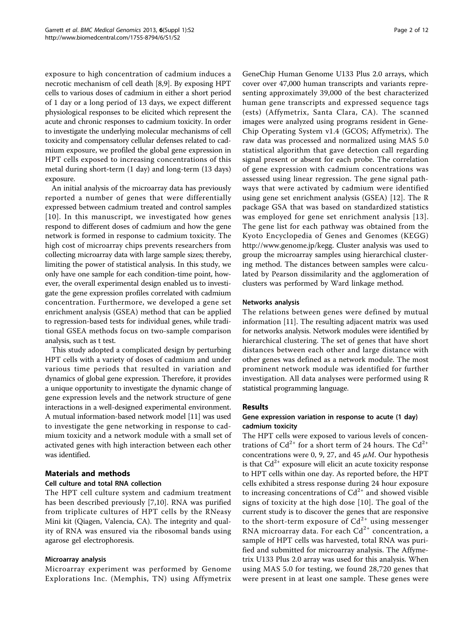exposure to high concentration of cadmium induces a necrotic mechanism of cell death [[8,9\]](#page-10-0). By exposing HPT cells to various doses of cadmium in either a short period of 1 day or a long period of 13 days, we expect different physiological responses to be elicited which represent the acute and chronic responses to cadmium toxicity. In order to investigate the underlying molecular mechanisms of cell toxicity and compensatory cellular defenses related to cadmium exposure, we profiled the global gene expression in HPT cells exposed to increasing concentrations of this metal during short-term (1 day) and long-term (13 days) exposure.

An initial analysis of the microarray data has previously reported a number of genes that were differentially expressed between cadmium treated and control samples [[10\]](#page-10-0). In this manuscript, we investigated how genes respond to different doses of cadmium and how the gene network is formed in response to cadmium toxicity. The high cost of microarray chips prevents researchers from collecting microarray data with large sample sizes; thereby, limiting the power of statistical analysis. In this study, we only have one sample for each condition-time point, however, the overall experimental design enabled us to investigate the gene expression profiles correlated with cadmium concentration. Furthermore, we developed a gene set enrichment analysis (GSEA) method that can be applied to regression-based tests for individual genes, while traditional GSEA methods focus on two-sample comparison analysis, such as t test.

This study adopted a complicated design by perturbing HPT cells with a variety of doses of cadmium and under various time periods that resulted in variation and dynamics of global gene expression. Therefore, it provides a unique opportunity to investigate the dynamic change of gene expression levels and the network structure of gene interactions in a well-designed experimental environment. A mutual information-based network model [\[11\]](#page-10-0) was used to investigate the gene networking in response to cadmium toxicity and a network module with a small set of activated genes with high interaction between each other was identified.

## Materials and methods

## Cell culture and total RNA collection

The HPT cell culture system and cadmium treatment has been described previously [[7,10](#page-10-0)]. RNA was purified from triplicate cultures of HPT cells by the RNeasy Mini kit (Qiagen, Valencia, CA). The integrity and quality of RNA was ensured via the ribosomal bands using agarose gel electrophoresis.

## Microarray analysis

Microarray experiment was performed by Genome Explorations Inc. (Memphis, TN) using Affymetrix

GeneChip Human Genome U133 Plus 2.0 arrays, which cover over 47,000 human transcripts and variants representing approximately 39,000 of the best characterized human gene transcripts and expressed sequence tags (ests) (Affymetrix, Santa Clara, CA). The scanned images were analyzed using programs resident in Gene-Chip Operating System v1.4 (GCOS; Affymetrix). The raw data was processed and normalized using MAS 5.0 statistical algorithm that gave detection call regarding signal present or absent for each probe. The correlation of gene expression with cadmium concentrations was assessed using linear regression. The gene signal pathways that were activated by cadmium were identified using gene set enrichment analysis (GSEA) [[12\]](#page-11-0). The R package GSA that was based on standardized statistics was employed for gene set enrichment analysis [[13\]](#page-11-0). The gene list for each pathway was obtained from the Kyoto Encyclopedia of Genes and Genomes (KEGG) <http://www.genome.jp/kegg>. Cluster analysis was used to group the microarray samples using hierarchical clustering method. The distances between samples were calculated by Pearson dissimilarity and the agglomeration of clusters was performed by Ward linkage method.

#### Networks analysis

The relations between genes were defined by mutual information [\[11](#page-10-0)]. The resulting adjacent matrix was used for networks analysis. Network modules were identified by hierarchical clustering. The set of genes that have short distances between each other and large distance with other genes was defined as a network module. The most prominent network module was identified for further investigation. All data analyses were performed using R statistical programming language.

#### Results

### Gene expression variation in response to acute (1 day) cadmium toxicity

The HPT cells were exposed to various levels of concentrations of  $Cd^{2+}$  for a short term of 24 hours. The  $Cd^{2+}$ concentrations were 0, 9, 27, and 45  $\mu$ M. Our hypothesis is that  $Cd^{2+}$  exposure will elicit an acute toxicity response to HPT cells within one day. As reported before, the HPT cells exhibited a stress response during 24 hour exposure to increasing concentrations of  $Cd^{2+}$  and showed visible signs of toxicity at the high dose [[10](#page-10-0)]. The goal of the current study is to discover the genes that are responsive to the short-term exposure of  $Cd^{2+}$  using messenger RNA microarray data. For each  $Cd^{2+}$  concentration, a sample of HPT cells was harvested, total RNA was purified and submitted for microarray analysis. The Affymetrix U133 Plus 2.0 array was used for this analysis. When using MAS 5.0 for testing, we found 28,720 genes that were present in at least one sample. These genes were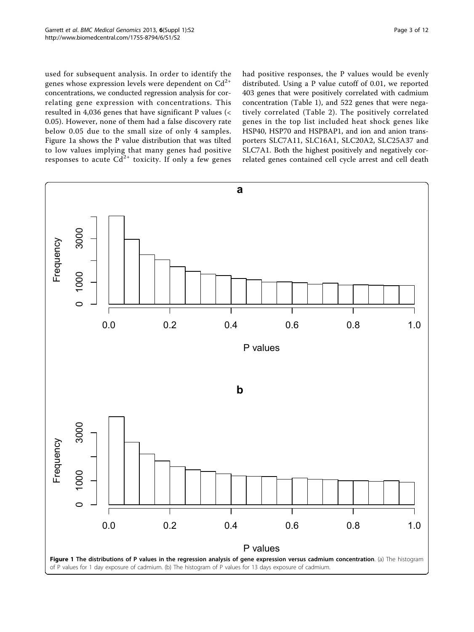<span id="page-2-0"></span>used for subsequent analysis. In order to identify the genes whose expression levels were dependent on  $Cd^{2+}$ concentrations, we conducted regression analysis for correlating gene expression with concentrations. This resulted in 4,036 genes that have significant P values (< 0.05). However, none of them had a false discovery rate below 0.05 due to the small size of only 4 samples. Figure 1a shows the P value distribution that was tilted to low values implying that many genes had positive responses to acute  $Cd^{2+}$  toxicity. If only a few genes had positive responses, the P values would be evenly distributed. Using a P value cutoff of 0.01, we reported 403 genes that were positively correlated with cadmium concentration (Table [1\)](#page-3-0), and 522 genes that were negatively correlated (Table [2\)](#page-4-0). The positively correlated genes in the top list included heat shock genes like HSP40, HSP70 and HSPBAP1, and ion and anion transporters SLC7A11, SLC16A1, SLC20A2, SLC25A37 and SLC7A1. Both the highest positively and negatively correlated genes contained cell cycle arrest and cell death

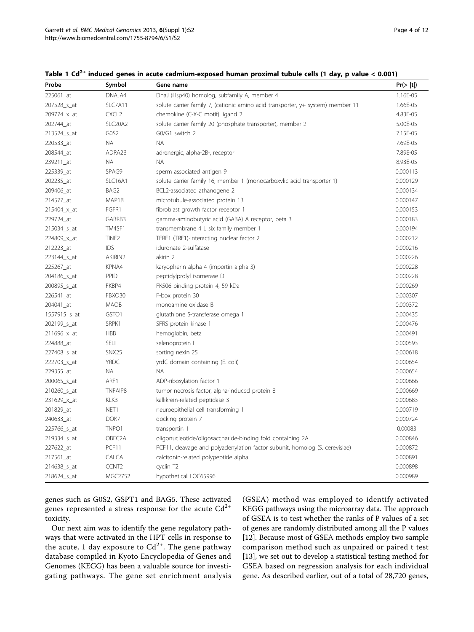| Probe        | Symbol              | Gene name                                                                       | Pr(> t ) |
|--------------|---------------------|---------------------------------------------------------------------------------|----------|
| 225061 at    | DNAJA4              | DnaJ (Hsp40) homolog, subfamily A, member 4                                     | 1.16E-05 |
| 207528_s_at  | SLC7A11             | solute carrier family 7, (cationic amino acid transporter, y+ system) member 11 | 1.66E-05 |
| 209774_x_at  | CXCL <sub>2</sub>   | chemokine (C-X-C motif) ligand 2                                                | 4.83E-05 |
| 202744 at    | SLC20A2             | solute carrier family 20 (phosphate transporter), member 2                      | 5.00E-05 |
| 213524 s at  | GOS2                | G0/G1 switch 2                                                                  | 7.15E-05 |
| 220533_at    | <b>NA</b>           | <b>NA</b>                                                                       | 7.69E-05 |
| 208544_at    | ADRA2B              | adrenergic, alpha-2B-, receptor                                                 | 7.89E-05 |
| 239211_at    | <b>NA</b>           | <b>NA</b>                                                                       | 8.93E-05 |
| 225339 at    | SPAG9               | sperm associated antigen 9                                                      | 0.000113 |
| 202235 at    | SLC16A1             | solute carrier family 16, member 1 (monocarboxylic acid transporter 1)          | 0.000129 |
| 209406_at    | BAG <sub>2</sub>    | BCL2-associated athanogene 2                                                    | 0.000134 |
| 214577_at    | MAP1B               | microtubule-associated protein 1B                                               | 0.000147 |
| 215404_x_at  | FGFR1               | fibroblast growth factor receptor 1                                             | 0.000153 |
| 229724_at    | GABRB3              | gamma-aminobutyric acid (GABA) A receptor, beta 3                               | 0.000183 |
| 215034_s_at  | TM4SF1              | transmembrane 4 L six family member 1                                           | 0.000194 |
| 224809_x_at  | TINF <sub>2</sub>   | TERF1 (TRF1)-interacting nuclear factor 2                                       | 0.000212 |
| 212223_at    | IDS                 | iduronate 2-sulfatase                                                           | 0.000216 |
| 223144 s at  | AKIRIN2             | akirin 2                                                                        | 0.000226 |
| 225267_at    | KPNA4               | karyopherin alpha 4 (importin alpha 3)                                          | 0.000228 |
| 204186_s_at  | <b>PPID</b>         | peptidylprolyl isomerase D                                                      | 0.000228 |
| 200895_s_at  | FKBP4               | FK506 binding protein 4, 59 kDa                                                 | 0.000269 |
| 226541_at    | FBXO30              | F-box protein 30                                                                | 0.000307 |
| 204041 at    | <b>MAOB</b>         | monoamine oxidase B                                                             | 0.000372 |
| 1557915_s_at | GSTO1               | glutathione S-transferase omega 1                                               | 0.000435 |
| 202199_s_at  | SRPK1               | SFRS protein kinase 1                                                           | 0.000476 |
| 211696_x_at  | <b>HBB</b>          | hemoglobin, beta                                                                | 0.000491 |
| 224888_at    | <b>SELI</b>         | selenoprotein I                                                                 | 0.000593 |
| 227408_s_at  | SNX <sub>25</sub>   | sorting nexin 25                                                                | 0.000618 |
| 222703_s_at  | <b>YRDC</b>         | yrdC domain containing (E. coli)                                                | 0.000654 |
| 229355_at    | NA.                 | ΝA                                                                              | 0.000654 |
| 200065_s_at  | ARF1                | ADP-ribosylation factor 1                                                       | 0.000666 |
| 210260 s at  | <b>TNFAIP8</b>      | tumor necrosis factor, alpha-induced protein 8                                  | 0.000669 |
| 231629_x_at  | KLK3                | kallikrein-related peptidase 3                                                  | 0.000683 |
| 201829_at    | NET1                | neuroepithelial cell transforming 1                                             | 0.000719 |
| 240633_at    | DOK7                | docking protein 7                                                               | 0.000724 |
| 225766_s_at  | TNPO1               | transportin 1                                                                   | 0.00083  |
| 219334_s_at  | OBFC <sub>2</sub> A | oligonucleotide/oligosaccharide-binding fold containing 2A                      | 0.000846 |
| 227622_at    | PCF11               | PCF11, cleavage and polyadenylation factor subunit, homolog (S. cerevisiae)     | 0.000872 |
| 217561_at    | CALCA               | calcitonin-related polypeptide alpha                                            | 0.000891 |

214638\_s\_at CCNT2 cyclin T2 0.000898 218624\_s\_at MGC2752 hypothetical LOC65996 0.000989 0.000989 0.000989

<span id="page-3-0"></span>

|  |  |  |  | Table 1 Cd <sup>2+</sup> induced genes in acute cadmium-exposed human proximal tubule cells (1 day, p value < 0.001) |  |
|--|--|--|--|----------------------------------------------------------------------------------------------------------------------|--|
|--|--|--|--|----------------------------------------------------------------------------------------------------------------------|--|

genes such as G0S2, GSPT1 and BAG5. These activated genes represented a stress response for the acute  $Cd^{2+}$ toxicity.

Our next aim was to identify the gene regulatory pathways that were activated in the HPT cells in response to the acute, 1 day exposure to  $Cd^{2+}$ . The gene pathway database compiled in Kyoto Encyclopedia of Genes and Genomes (KEGG) has been a valuable source for investigating pathways. The gene set enrichment analysis (GSEA) method was employed to identify activated KEGG pathways using the microarray data. The approach of GSEA is to test whether the ranks of P values of a set of genes are randomly distributed among all the P values [[12\]](#page-11-0). Because most of GSEA methods employ two sample comparison method such as unpaired or paired t test [[13\]](#page-11-0), we set out to develop a statistical testing method for GSEA based on regression analysis for each individual gene. As described earlier, out of a total of 28,720 genes,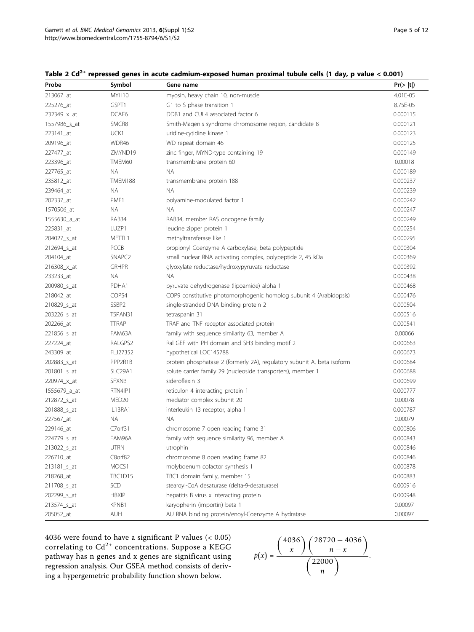| Probe        | Symbol             | Gene name                                                               | Pr(> t ) |
|--------------|--------------------|-------------------------------------------------------------------------|----------|
| 213067_at    | MYH10              | myosin, heavy chain 10, non-muscle                                      | 4.01E-05 |
| 225276_at    | GSPT1              | G1 to S phase transition 1                                              | 8.75E-05 |
| 232349_x_at  | DCAF <sub>6</sub>  | DDB1 and CUL4 associated factor 6                                       | 0.000115 |
| 1557986_s_at | SMCR8              | Smith-Magenis syndrome chromosome region, candidate 8                   | 0.000121 |
| 223141_at    | UCK1               | uridine-cytidine kinase 1                                               | 0.000123 |
| 209196_at    | WDR46              | WD repeat domain 46                                                     | 0.000125 |
| 227477_at    | ZMYND19            | zinc finger, MYND-type containing 19                                    | 0.000149 |
| 223396_at    | TMEM60             | transmembrane protein 60                                                | 0.00018  |
| 227765_at    | NA.                | NA.                                                                     | 0.000189 |
| 235812_at    | TMEM188            | transmembrane protein 188                                               | 0.000237 |
| 239464_at    | NA.                | NA.                                                                     | 0.000239 |
| 202337_at    | PMF1               | polyamine-modulated factor 1                                            | 0.000242 |
| 1570506_at   | NA.                | NA.                                                                     | 0.000247 |
| 1555630_a_at | RAB34              | RAB34, member RAS oncogene family                                       | 0.000249 |
| 225831_at    | LUZP1              | leucine zipper protein 1                                                | 0.000254 |
| 204027_s_at  | METTL1             | methyltransferase like 1                                                | 0.000295 |
| 212694_s_at  | <b>PCCB</b>        | propionyl Coenzyme A carboxylase, beta polypeptide                      | 0.000304 |
| 204104_at    | SNAPC <sub>2</sub> | small nuclear RNA activating complex, polypeptide 2, 45 kDa             | 0.000369 |
| 216308_x_at  | <b>GRHPR</b>       | glyoxylate reductase/hydroxypyruvate reductase                          | 0.000392 |
| 233233_at    | ΝA                 | NА                                                                      | 0.000438 |
| 200980_s_at  | PDHA1              | pyruvate dehydrogenase (lipoamide) alpha 1                              | 0.000468 |
| 218042_at    | COPS4              | COP9 constitutive photomorphogenic homolog subunit 4 (Arabidopsis)      | 0.000476 |
| 210829_s_at  | SSBP <sub>2</sub>  | single-stranded DNA binding protein 2                                   | 0.000504 |
| 203226_s_at  | TSPAN31            | tetraspanin 31                                                          | 0.000516 |
| 202266_at    | <b>TTRAP</b>       | TRAF and TNF receptor associated protein                                | 0.000541 |
| 221856_s_at  | FAM63A             | family with sequence similarity 63, member A                            | 0.00066  |
| 227224_at    | RALGPS2            | Ral GEF with PH domain and SH3 binding motif 2                          | 0.000663 |
| 243309_at    | FLJ27352           | hypothetical LOC145788                                                  | 0.000673 |
| 202883_s_at  | PPP2R1B            | protein phosphatase 2 (formerly 2A), regulatory subunit A, beta isoform | 0.000684 |
| 201801_s_at  | SLC29A1            | solute carrier family 29 (nucleoside transporters), member 1            | 0.000688 |
| 220974_x_at  | SFXN3              | sideroflexin 3                                                          | 0.000699 |
| 1555679_a_at | RTN4IP1            | reticulon 4 interacting protein 1                                       | 0.000777 |
| 212872_s_at  | MED <sub>20</sub>  | mediator complex subunit 20                                             | 0.00078  |
| 201888_s_at  | IL13RA1            | interleukin 13 receptor, alpha 1                                        | 0.000787 |
| 227567_at    | ΝA                 | NA.                                                                     | 0.00079  |
| 229146_at    | C7orf31            | chromosome 7 open reading frame 31                                      | 0.000806 |
| 224779_s_at  | FAM96A             | family with sequence similarity 96, member A                            | 0.000843 |
| 213022_s_at  | <b>UTRN</b>        | utrophin                                                                | 0.000846 |
| 226710_at    | C8orf82            | chromosome 8 open reading frame 82                                      | 0.000846 |
| 213181_s_at  | MOCS1              | molybdenum cofactor synthesis 1                                         | 0.000878 |
| 218268_at    | <b>TBC1D15</b>     | TBC1 domain family, member 15                                           | 0.000883 |
| 211708_s_at  | SCD                | stearoyl-CoA desaturase (delta-9-desaturase)                            | 0.000916 |
| 202299_s_at  | <b>HBXIP</b>       | hepatitis B virus x interacting protein                                 | 0.000948 |
| 213574_s_at  | KPNB1              | karyopherin (importin) beta 1                                           | 0.00097  |
| 205052_at    | AUH                | AU RNA binding protein/enoyl-Coenzyme A hydratase                       | 0.00097  |

<span id="page-4-0"></span>Table 2  $Cd^{2+}$  repressed genes in acute cadmium-exposed human proximal tubule cells (1 day, p value < 0.001)

4036 were found to have a significant P values (< 0.05) correlating to  $Cd^{2+}$  concentrations. Suppose a KEGG pathway has n genes and x genes are significant using regression analysis. Our GSEA method consists of deriving a hypergemetric probability function shown below.

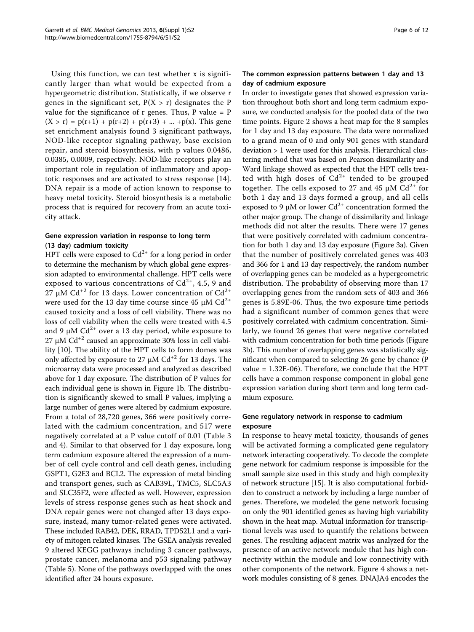Using this function, we can test whether x is significantly larger than what would be expected from a hypergeometric distribution. Statistically, if we observe r genes in the significant set,  $P(X > r)$  designates the P value for the significance of  $r$  genes. Thus,  $P$  value =  $P$  $(X > r) = p(r+1) + p(r+2) + p(r+3) + ... + p(x)$ . This gene set enrichment analysis found 3 significant pathways, NOD-like receptor signaling pathway, base excision repair, and steroid biosynthesis, with p values 0.0486, 0.0385, 0.0009, respectively. NOD-like receptors play an important role in regulation of inflammatory and apoptotic responses and are activated to stress response [\[14](#page-11-0)]. DNA repair is a mode of action known to response to heavy metal toxicity. Steroid biosynthesis is a metabolic process that is required for recovery from an acute toxicity attack.

## Gene expression variation in response to long term (13 day) cadmium toxicity

HPT cells were exposed to  $Cd^{2+}$  for a long period in order to determine the mechanism by which global gene expression adapted to environmental challenge. HPT cells were exposed to various concentrations of  $Cd^{2+}$ , 4.5, 9 and 27  $\mu$ M Cd<sup>+2</sup> for 13 days. Lower concentration of Cd<sup>2+</sup> were used for the 13 day time course since 45  $\mu$ M Cd<sup>2+</sup> caused toxicity and a loss of cell viability. There was no loss of cell viability when the cells were treated with 4.5 and 9  $\mu$ M Cd<sup>2+</sup> over a 13 day period, while exposure to 27 μM  $Cd<sup>+2</sup>$  caused an approximate 30% loss in cell viability [[10\]](#page-10-0). The ability of the HPT cells to form domes was only affected by exposure to 27  $\mu$ M Cd<sup>+2</sup> for 13 days. The microarray data were processed and analyzed as described above for 1 day exposure. The distribution of P values for each individual gene is shown in Figure [1b](#page-2-0). The distribution is significantly skewed to small P values, implying a large number of genes were altered by cadmium exposure. From a total of 28,720 genes, 366 were positively correlated with the cadmium concentration, and 517 were negatively correlated at a P value cutoff of 0.01 (Table [3](#page-6-0) and [4\)](#page-7-0). Similar to that observed for 1 day exposure, long term cadmium exposure altered the expression of a number of cell cycle control and cell death genes, including GSPT1, G2E3 and BCL2. The expression of metal binding and transport genes, such as CAB39L, TMC5, SLC5A3 and SLC35F2, were affected as well. However, expression levels of stress response genes such as heat shock and DNA repair genes were not changed after 13 days exposure, instead, many tumor-related genes were activated. These included RAB42, DEK, RRAD, TPD52L1 and a variety of mitogen related kinases. The GSEA analysis revealed 9 altered KEGG pathways including 3 cancer pathways, prostate cancer, melanoma and p53 signaling pathway (Table [5](#page-8-0)). None of the pathways overlapped with the ones identified after 24 hours exposure.

## The common expression patterns between 1 day and 13 day of cadmium exposure

In order to investigate genes that showed expression variation throughout both short and long term cadmium exposure, we conducted analysis for the pooled data of the two time points. Figure [2](#page-9-0) shows a heat map for the 8 samples for 1 day and 13 day exposure. The data were normalized to a grand mean of 0 and only 901 genes with standard deviation > 1 were used for this analysis. Hierarchical clustering method that was based on Pearson dissimilarity and Ward linkage showed as expected that the HPT cells treated with high doses of  $Cd^{2+}$  tended to be grouped together. The cells exposed to 27 and 45  $\mu$ M Cd<sup>2+</sup> for both 1 day and 13 days formed a group, and all cells exposed to 9  $\mu$ M or lower Cd<sup>2+</sup> concentration formed the other major group. The change of dissimilarity and linkage methods did not alter the results. There were 17 genes that were positively correlated with cadmium concentration for both 1 day and 13 day exposure (Figure [3a](#page-9-0)). Given that the number of positively correlated genes was 403 and 366 for 1 and 13 day respectively, the random number of overlapping genes can be modeled as a hypergeometric distribution. The probability of observing more than 17 overlapping genes from the random sets of 403 and 366 genes is 5.89E-06. Thus, the two exposure time periods had a significant number of common genes that were positively correlated with cadmium concentration. Similarly, we found 26 genes that were negative correlated with cadmium concentration for both time periods (Figure [3b](#page-9-0)). This number of overlapping genes was statistically significant when compared to selecting 26 gene by chance (P value = 1.32E-06). Therefore, we conclude that the HPT cells have a common response component in global gene expression variation during short term and long term cadmium exposure.

## Gene regulatory network in response to cadmium exposure

In response to heavy metal toxicity, thousands of genes will be activated forming a complicated gene regulatory network interacting cooperatively. To decode the complete gene network for cadmium response is impossible for the small sample size used in this study and high complexity of network structure [\[15](#page-11-0)]. It is also computational forbidden to construct a network by including a large number of genes. Therefore, we modeled the gene network focusing on only the 901 identified genes as having high variability shown in the heat map. Mutual information for transcriptional levels was used to quantify the relations between genes. The resulting adjacent matrix was analyzed for the presence of an active network module that has high connectivity within the module and low connectivity with other components of the network. Figure [4](#page-10-0) shows a network modules consisting of 8 genes. DNAJA4 encodes the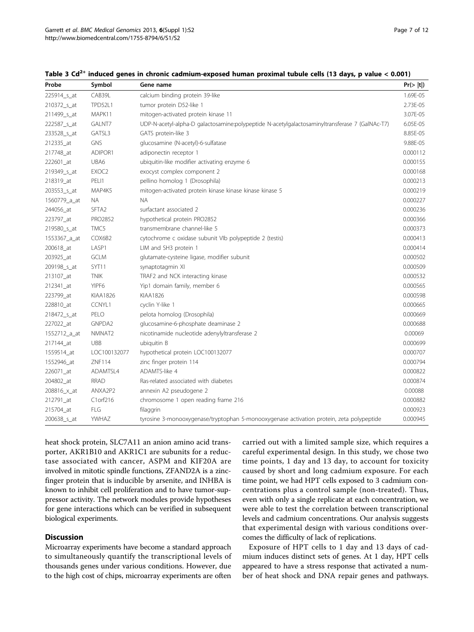| Probe        | Symbol            | Gene name                                                                                      | Pr(>  t ) |
|--------------|-------------------|------------------------------------------------------------------------------------------------|-----------|
| 225914_s_at  | CAB39L            | calcium binding protein 39-like                                                                | 1.69E-05  |
| 210372_s_at  | <b>TPD52L1</b>    | tumor protein D52-like 1                                                                       | 2.73E-05  |
| 211499_s_at  | MAPK11            | mitogen-activated protein kinase 11                                                            | 3.07E-05  |
| 222587_s_at  | GALNT7            | UDP-N-acetyl-alpha-D galactosamine:polypeptide N-acetylgalactosaminyltransferase 7 (GalNAc-T7) | 6.05E-05  |
| 233528_s_at  | GATSL3            | GATS protein-like 3                                                                            | 8.85E-05  |
| 212335_at    | <b>GNS</b>        | glucosamine (N-acetyl)-6-sulfatase                                                             | 9.88E-05  |
| 217748_at    | ADIPOR1           | adiponectin receptor 1                                                                         | 0.000112  |
| 222601_at    | UBA6              | ubiquitin-like modifier activating enzyme 6                                                    | 0.000155  |
| 219349_s_at  | EXOC <sub>2</sub> | exocyst complex component 2                                                                    | 0.000168  |
| 218319_at    | PELI1             | pellino homolog 1 (Drosophila)                                                                 | 0.000213  |
| 203553_s_at  | MAP4K5            | mitogen-activated protein kinase kinase kinase kinase 5                                        | 0.000219  |
| 1560779_a_at | <b>NA</b>         | <b>NA</b>                                                                                      | 0.000227  |
| 244056_at    | SFTA <sub>2</sub> | surfactant associated 2                                                                        | 0.000236  |
| 223797_at    | PRO2852           | hypothetical protein PRO2852                                                                   | 0.000366  |
| 219580_s_at  | TMC5              | transmembrane channel-like 5                                                                   | 0.000373  |
| 1553367_a_at | COX6B2            | cytochrome c oxidase subunit VIb polypeptide 2 (testis)                                        | 0.000413  |
| 200618_at    | LASP1             | LIM and SH3 protein 1                                                                          | 0.000414  |
| 203925_at    | <b>GCLM</b>       | glutamate-cysteine ligase, modifier subunit                                                    | 0.000502  |
| 209198_s_at  | SYT11             | synaptotagmin XI                                                                               | 0.000509  |
| 213107_at    | <b>TNIK</b>       | TRAF2 and NCK interacting kinase                                                               | 0.000532  |
| 212341_at    | YIPF6             | Yip1 domain family, member 6                                                                   | 0.000565  |
| 223799_at    | <b>KIAA1826</b>   | <b>KIAA1826</b>                                                                                | 0.000598  |
| 228810_at    | CCNYL1            | cyclin Y-like 1                                                                                | 0.000665  |
| 218472_s_at  | PELO              | pelota homolog (Drosophila)                                                                    | 0.000669  |
| 227022_at    | GNPDA2            | glucosamine-6-phosphate deaminase 2                                                            | 0.000688  |
| 1552712_a_at | NMNAT2            | nicotinamide nucleotide adenylyltransferase 2                                                  | 0.00069   |
| 217144_at    | <b>UBB</b>        | ubiquitin B                                                                                    | 0.000699  |
| 1559514_at   | LOC100132077      | hypothetical protein LOC100132077                                                              | 0.000707  |
| 1552946_at   | ZNF114            | zinc finger protein 114                                                                        | 0.000794  |
| 226071_at    | ADAMTSL4          | ADAMTS-like 4                                                                                  | 0.000822  |
| 204802_at    | <b>RRAD</b>       | Ras-related associated with diabetes                                                           | 0.000874  |
| 208816_x_at  | ANXA2P2           | annexin A2 pseudogene 2                                                                        | 0.00088   |
| 212791_at    | C1orf216          | chromosome 1 open reading frame 216                                                            | 0.000882  |
| 215704_at    | <b>FLG</b>        | filaggrin                                                                                      | 0.000923  |
| 200638_s_at  | YWHAZ             | tyrosine 3-monooxygenase/tryptophan 5-monooxygenase activation protein, zeta polypeptide       | 0.000945  |

<span id="page-6-0"></span>Table 3 Cd<sup>2+</sup> induced genes in chronic cadmium-exposed human proximal tubule cells (13 days, p value < 0.001)

heat shock protein, SLC7A11 an anion amino acid transporter, AKR1B10 and AKR1C1 are subunits for a reductase associated with cancer, ASPM and KIF20A are involved in mitotic spindle functions, ZFAND2A is a zincfinger protein that is inducible by arsenite, and INHBA is known to inhibit cell proliferation and to have tumor-suppressor activity. The network modules provide hypotheses for gene interactions which can be verified in subsequent biological experiments.

#### **Discussion**

Microarray experiments have become a standard approach to simultaneously quantify the transcriptional levels of thousands genes under various conditions. However, due to the high cost of chips, microarray experiments are often

carried out with a limited sample size, which requires a careful experimental design. In this study, we chose two time points, 1 day and 13 day, to account for toxicity caused by short and long cadmium exposure. For each time point, we had HPT cells exposed to 3 cadmium concentrations plus a control sample (non-treated). Thus, even with only a single replicate at each concentration, we were able to test the correlation between transcriptional levels and cadmium concentrations. Our analysis suggests that experimental design with various conditions overcomes the difficulty of lack of replications.

Exposure of HPT cells to 1 day and 13 days of cadmium induces distinct sets of genes. At 1 day, HPT cells appeared to have a stress response that activated a number of heat shock and DNA repair genes and pathways.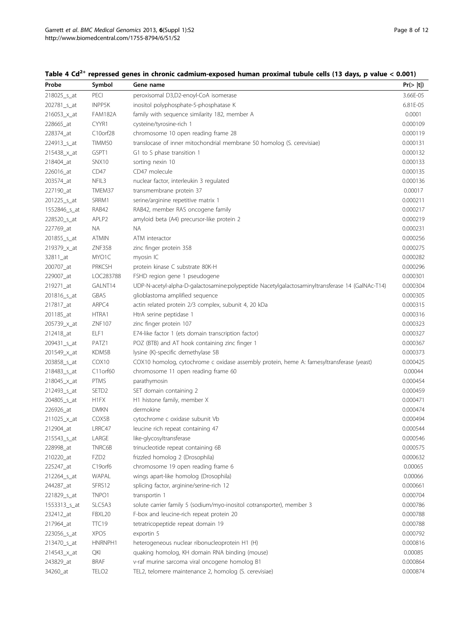| Probe                   | Symbol            | Gene name                                                                                       | Pr(>  t ) |
|-------------------------|-------------------|-------------------------------------------------------------------------------------------------|-----------|
| 218025_s_at             | PECI              | peroxisomal D3,D2-enoyl-CoA isomerase                                                           | 3.66E-05  |
| 202781_s_at             | <b>INPP5K</b>     | inositol polyphosphate-5-phosphatase K                                                          | 6.81E-05  |
| 216053_x_at             | <b>FAM182A</b>    | family with sequence similarity 182, member A                                                   | 0.0001    |
| 228665_at               | CYYR1             | cysteine/tyrosine-rich 1                                                                        | 0.000109  |
| 228374_at               | C10orf28          | chromosome 10 open reading frame 28                                                             | 0.000119  |
| 224913_s_at             | TIMM50            | translocase of inner mitochondrial membrane 50 homolog (S. cerevisiae)                          | 0.000131  |
| 215438_x_at             | GSPT1             | G1 to S phase transition 1                                                                      | 0.000132  |
| 218404_at               | SNX10             | sorting nexin 10                                                                                | 0.000133  |
| 226016_at               | CD47              | CD47 molecule                                                                                   | 0.000135  |
| 203574_at               | NFIL3             | nuclear factor, interleukin 3 regulated                                                         | 0.000136  |
| 227190_at               | TMEM37            | transmembrane protein 37                                                                        | 0.00017   |
| 201225_s_at             | SRRM1             | serine/arginine repetitive matrix 1                                                             | 0.000211  |
| 1552846_s_at            | RAB42             | RAB42, member RAS oncogene family                                                               | 0.000217  |
| 228520_s_at             | APLP2             | amyloid beta (A4) precursor-like protein 2                                                      | 0.000219  |
| 227769_at               | NA                | NA.                                                                                             | 0.000231  |
| 201855_s_at             | <b>ATMIN</b>      | ATM interactor                                                                                  | 0.000256  |
| 219379_x_at             | <b>ZNF358</b>     | zinc finger protein 358                                                                         | 0.000275  |
| 32811_at                | MYO1C             | myosin IC                                                                                       | 0.000282  |
| 200707_at               | PRKCSH            | protein kinase C substrate 80K-H                                                                | 0.000296  |
| 229007_at               | LOC283788         | FSHD region gene 1 pseudogene                                                                   | 0.000301  |
| 219271_at               | GALNT14           | UDP-N-acetyl-alpha-D-qalactosamine:polypeptide Nacetylgalactosaminyltransferase 14 (GalNAc-T14) | 0.000304  |
| 201816_s_at             | <b>GBAS</b>       | glioblastoma amplified sequence                                                                 | 0.000305  |
| 217817_at               | ARPC4             | actin related protein 2/3 complex, subunit 4, 20 kDa                                            | 0.000315  |
| 201185_at               | HTRA1             | HtrA serine peptidase 1                                                                         | 0.000316  |
| 205739_x_at             | ZNF107            | zinc finger protein 107                                                                         | 0.000323  |
| 212418_at               | ELF1              | E74-like factor 1 (ets domain transcription factor)                                             | 0.000327  |
| 209431_s_at             | PATZ1             | POZ (BTB) and AT hook containing zinc finger 1                                                  | 0.000367  |
| 201549_x_at             | KDM5B             | lysine (K)-specific demethylase 5B                                                              | 0.000373  |
| 203858_s_at             | COX <sub>10</sub> | COX10 homolog, cytochrome c oxidase assembly protein, heme A: farnesyltransferase (yeast)       | 0.000425  |
| 218483_s_at             | C11orf60          | chromosome 11 open reading frame 60                                                             | 0.00044   |
| 218045_x_at             | <b>PTMS</b>       | parathymosin                                                                                    | 0.000454  |
| 212493_s_at             | SETD <sub>2</sub> | SET domain containing 2                                                                         | 0.000459  |
| 204805_s_at             | H1FX              | H1 histone family, member X                                                                     | 0.000471  |
| 226926_at               | <b>DMKN</b>       | dermokine                                                                                       | 0.000474  |
| 211025_x_at             | COX5B             | cytochrome c oxidase subunit Vb                                                                 | 0.000494  |
| 212904_at               | LRRC47            | leucine rich repeat containing 47                                                               | 0.000544  |
| 215543_s_at             | LARGE             | like-glycosyltransferase                                                                        | 0.000546  |
| 228998_at               | TNRC6B            | trinucleotide repeat containing 6B                                                              | 0.000575  |
| 210220_at               | FZD <sub>2</sub>  | frizzled homolog 2 (Drosophila)                                                                 | 0.000632  |
| 225247_at               | C19orf6           | chromosome 19 open reading frame 6                                                              | 0.00065   |
| 212264_s_at             | WAPAL             | wings apart-like homolog (Drosophila)                                                           | 0.00066   |
| 244287_at               | SFRS12            | splicing factor, arginine/serine-rich 12                                                        | 0.000661  |
| 221829_s_at             | TNPO1             | transportin 1                                                                                   | 0.000704  |
| 1553313_s_at            | SLC5A3            | solute carrier family 5 (sodium/myo-inositol cotransporter), member 3                           | 0.000786  |
| 232412_at               | FBXL20            | F-box and leucine-rich repeat protein 20                                                        | 0.000788  |
| 217964_at               | <b>TTC19</b>      | tetratricopeptide repeat domain 19                                                              | 0.000788  |
| 223056_s_at             | XPO <sub>5</sub>  | exportin 5                                                                                      | 0.000792  |
| 213470 <sub>_S_at</sub> | HNRNPH1           | heterogeneous nuclear ribonucleoprotein H1 (H)                                                  | 0.000816  |
| 214543_x_at             | QKI               | quaking homolog, KH domain RNA binding (mouse)                                                  | 0.00085   |
| 243829_at               | <b>BRAF</b>       | v-raf murine sarcoma viral oncogene homolog B1                                                  | 0.000864  |
| 34260_at                | TELO <sub>2</sub> | TEL2, telomere maintenance 2, homolog (S. cerevisiae)                                           | 0.000874  |

<span id="page-7-0"></span>Table 4  $Cd^{2+}$  repressed genes in chronic cadmium-exposed human proximal tubule cells (13 days, p value < 0.001)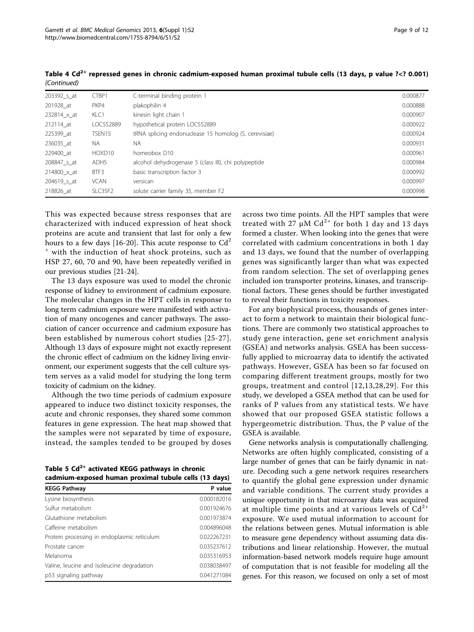| 203392_s_at | CTBP1              | C-terminal binding protein 1                          | 0.000877 |
|-------------|--------------------|-------------------------------------------------------|----------|
| 201928 at   | PKP4               | plakophilin 4                                         | 0.000888 |
| 232814_x_at | KLC1               | kinesin light chain 1                                 | 0.000907 |
| 212114 at   | LOC552889          | hypothetical protein LOC552889                        | 0.000922 |
| 225399 at   | TSEN15             | tRNA splicing endonuclease 15 homolog (S. cerevisiae) | 0.000924 |
| 236035 at   | NA.                | NA.                                                   | 0.000931 |
| 229400 at   | HOXD <sub>10</sub> | homeobox D10                                          | 0.000961 |
| 208847 s at | ADH <sub>5</sub>   | alcohol dehydrogenase 5 (class III), chi polypeptide  | 0.000984 |
| 214800_x_at | BTF3               | basic transcription factor 3                          | 0.000992 |
| 204619_s_at | <b>VCAN</b>        | versican                                              | 0.000997 |
| 218826 at   | SLC35F2            | solute carrier family 35, member F2                   | 0.000998 |

<span id="page-8-0"></span>Table 4 Cd<sup>2+</sup> repressed genes in chronic cadmium-exposed human proximal tubule cells (13 days, p value ?<? 0.001) (Continued)

This was expected because stress responses that are characterized with induced expression of heat shock proteins are acute and transient that last for only a few hours to a few days [[16-20](#page-11-0)]. This acute response to  $Cd^2$ <sup>+</sup> with the induction of heat shock proteins, such as HSP 27, 60, 70 and 90, have been repeatedly verified in our previous studies [\[21-24](#page-11-0)].

The 13 days exposure was used to model the chronic response of kidney to environment of cadmium exposure. The molecular changes in the HPT cells in response to long term cadmium exposure were manifested with activation of many oncogenes and cancer pathways. The association of cancer occurrence and cadmium exposure has been established by numerous cohort studies [[25-27\]](#page-11-0). Although 13 days of exposure might not exactly represent the chronic effect of cadmium on the kidney living environment, our experiment suggests that the cell culture system serves as a valid model for studying the long term toxicity of cadmium on the kidney.

Although the two time periods of cadmium exposure appeared to induce two distinct toxicity responses, the acute and chronic responses, they shared some common features in gene expression. The heat map showed that the samples were not separated by time of exposure, instead, the samples tended to be grouped by doses

Table 5  $Cd^{2+}$  activated KEGG pathways in chronic cadmium-exposed human proximal tubule cells (13 days)

| <b>KEGG Pathway</b>                         | P value     |
|---------------------------------------------|-------------|
| Lysine biosynthesis                         | 0.000182016 |
| Sulfur metabolism                           | 0.001924676 |
| Glutathione metabolism                      | 0.001973874 |
| Caffeine metabolism                         | 0.004896048 |
| Protein processing in endoplasmic reticulum | 0.022267231 |
| Prostate cancer                             | 0.035237612 |
| Melanoma                                    | 0.035316953 |
| Valine, leucine and isoleucine degradation  | 0.038038497 |
| p53 signaling pathway                       | 0.041271084 |
|                                             |             |

across two time points. All the HPT samples that were treated with 27  $\mu$ M Cd<sup>2+</sup> for both 1 day and 13 days formed a cluster. When looking into the genes that were correlated with cadmium concentrations in both 1 day and 13 days, we found that the number of overlapping genes was significantly larger than what was expected from random selection. The set of overlapping genes included ion transporter proteins, kinases, and transcriptional factors. These genes should be further investigated to reveal their functions in toxicity responses.

For any biophysical process, thousands of genes interact to form a network to maintain their biological functions. There are commonly two statistical approaches to study gene interaction, gene set enrichment analysis (GSEA) and networks analysis. GSEA has been successfully applied to microarray data to identify the activated pathways. However, GSEA has been so far focused on comparing different treatment groups, mostly for two groups, treatment and control [[12,13,28](#page-11-0),[29](#page-11-0)]. For this study, we developed a GSEA method that can be used for ranks of P values from any statistical tests. We have showed that our proposed GSEA statistic follows a hypergeometric distribution. Thus, the P value of the GSEA is available.

Gene networks analysis is computationally challenging. Networks are often highly complicated, consisting of a large number of genes that can be fairly dynamic in nature. Decoding such a gene network requires researchers to quantify the global gene expression under dynamic and variable conditions. The current study provides a unique opportunity in that microarray data was acquired at multiple time points and at various levels of  $Cd^{2+}$ exposure. We used mutual information to account for the relations between genes. Mutual information is able to measure gene dependency without assuming data distributions and linear relationship. However, the mutual information-based network models require huge amount of computation that is not feasible for modeling all the genes. For this reason, we focused on only a set of most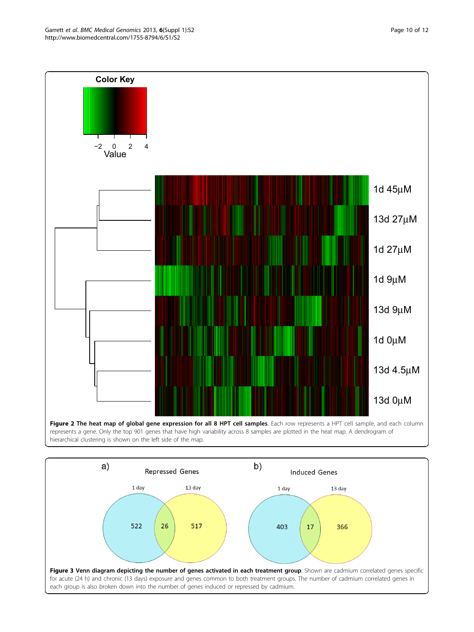<span id="page-9-0"></span>

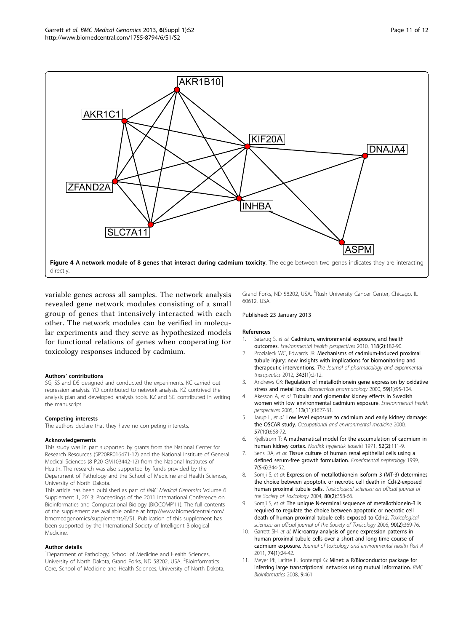<span id="page-10-0"></span>

variable genes across all samples. The network analysis revealed gene network modules consisting of a small group of genes that intensively interacted with each other. The network modules can be verified in molecular experiments and they serve as hypothesized models for functional relations of genes when cooperating for toxicology responses induced by cadmium.

#### Authors' contributions

SG, SS and DS designed and conducted the experiments. KC carried out regression analysis. YD contributed to network analysis. KZ contrived the analysis plan and developed analysis tools. KZ and SG contributed in writing the manuscript.

#### Competing interests

The authors declare that they have no competing interests.

#### Acknowledgements

This study was in part supported by grants from the National Center for Research Resources (5P20RR016471-12) and the National Institute of General Medical Sciences (8 P20 GM103442-12) from the National Institutes of Health. The research was also supported by funds provided by the Department of Pathology and the School of Medicine and Health Sciences, University of North Dakota.

This article has been published as part of BMC Medical Genomics Volume 6 Supplement 1, 2013: Proceedings of the 2011 International Conference on Bioinformatics and Computational Biology (BIOCOMP'11). The full contents of the supplement are available online at [http://www.biomedcentral.com/](http://www.biomedcentral.com/bmcmedgenomics/supplements/6/S1) [bmcmedgenomics/supplements/6/S1.](http://www.biomedcentral.com/bmcmedgenomics/supplements/6/S1) Publication of this supplement has been supported by the International Society of Intelligent Biological Medicine.

#### Author details

<sup>1</sup>Department of Pathology, School of Medicine and Health Sciences, University of North Dakota, Grand Forks, ND 58202, USA. <sup>2</sup>Bioinformatics Core, School of Medicine and Health Sciences, University of North Dakota,

Grand Forks, ND 58202, USA. <sup>3</sup>Rush University Cancer Center, Chicago, IL 60612, USA.

#### Published: 23 January 2013

#### References

- Satarug S, et al: [Cadmium, environmental exposure, and health](http://www.ncbi.nlm.nih.gov/pubmed/20123617?dopt=Abstract) [outcomes.](http://www.ncbi.nlm.nih.gov/pubmed/20123617?dopt=Abstract) Environmental health perspectives 2010, 118(2):182-90.
- 2. Prozialeck WC, Edwards JR: [Mechanisms of cadmium-induced proximal](http://www.ncbi.nlm.nih.gov/pubmed/22669569?dopt=Abstract) [tubule injury: new insights with implications for biomonitoring and](http://www.ncbi.nlm.nih.gov/pubmed/22669569?dopt=Abstract) [therapeutic interventions.](http://www.ncbi.nlm.nih.gov/pubmed/22669569?dopt=Abstract) The Journal of pharmacology and experimental therapeutics 2012, 343(1):2-12.
- 3. Andrews GK: [Regulation of metallothionein gene expression by oxidative](http://www.ncbi.nlm.nih.gov/pubmed/10605938?dopt=Abstract) [stress and metal ions.](http://www.ncbi.nlm.nih.gov/pubmed/10605938?dopt=Abstract) Biochemical pharmacology 2000, 59(1):95-104.
- 4. Akesson A, et al: [Tubular and glomerular kidney effects in Swedish](http://www.ncbi.nlm.nih.gov/pubmed/16263522?dopt=Abstract) [women with low environmental cadmium exposure.](http://www.ncbi.nlm.nih.gov/pubmed/16263522?dopt=Abstract) Environmental health perspectives 2005, 113(11):1627-31.
- 5. Jarup L, et al: [Low level exposure to cadmium and early kidney damage:](http://www.ncbi.nlm.nih.gov/pubmed/10984338?dopt=Abstract) [the OSCAR study.](http://www.ncbi.nlm.nih.gov/pubmed/10984338?dopt=Abstract) Occupational and environmental medicine 2000, 57(10):668-72.
- 6. Kjellstrom T: [A mathematical model for the accumulation of cadmium in](http://www.ncbi.nlm.nih.gov/pubmed/5147637?dopt=Abstract) [human kidney cortex.](http://www.ncbi.nlm.nih.gov/pubmed/5147637?dopt=Abstract) Nordisk hygienisk tidskrift 1971, 52(2):111-9.
- 7. Sens DA, et al: [Tissue culture of human renal epithelial cells using a](http://www.ncbi.nlm.nih.gov/pubmed/10559632?dopt=Abstract) [defined serum-free growth formulation.](http://www.ncbi.nlm.nih.gov/pubmed/10559632?dopt=Abstract) Experimental nephrology 1999, 7(5-6):344-52.
- Somji S, et al: Expression of metallothionein isoform 3 (MT-3) determines the choice between apoptotic or necrotic cell death in Cd+2-exposed human proximal tubule cells. Toxicological sciences: an official journal of the Society of Toxicology 2004, 80(2):358-66.
- Somji S, et al: The unique N-terminal sequence of metallothionein-3 is required to regulate the choice between apoptotic or necrotic cell death of human proximal tubule cells exposed to Cd+2. Toxicological sciences: an official journal of the Society of Toxicology 2006, 90(2):369-76.
- 10. Garrett SH, et al: [Microarray analysis of gene expression patterns in](http://www.ncbi.nlm.nih.gov/pubmed/21120746?dopt=Abstract) [human proximal tubule cells over a short and long time course of](http://www.ncbi.nlm.nih.gov/pubmed/21120746?dopt=Abstract) [cadmium exposure.](http://www.ncbi.nlm.nih.gov/pubmed/21120746?dopt=Abstract) Journal of toxicology and environmental health Part A 2011, 74(1):24-42.
- 11. Meyer PE, Lafitte F, Bontempi G: [Minet: a R/Bioconductor package for](http://www.ncbi.nlm.nih.gov/pubmed/18959772?dopt=Abstract) [inferring large transcriptional networks using mutual information.](http://www.ncbi.nlm.nih.gov/pubmed/18959772?dopt=Abstract) BMC Bioinformatics 2008, 9:461.